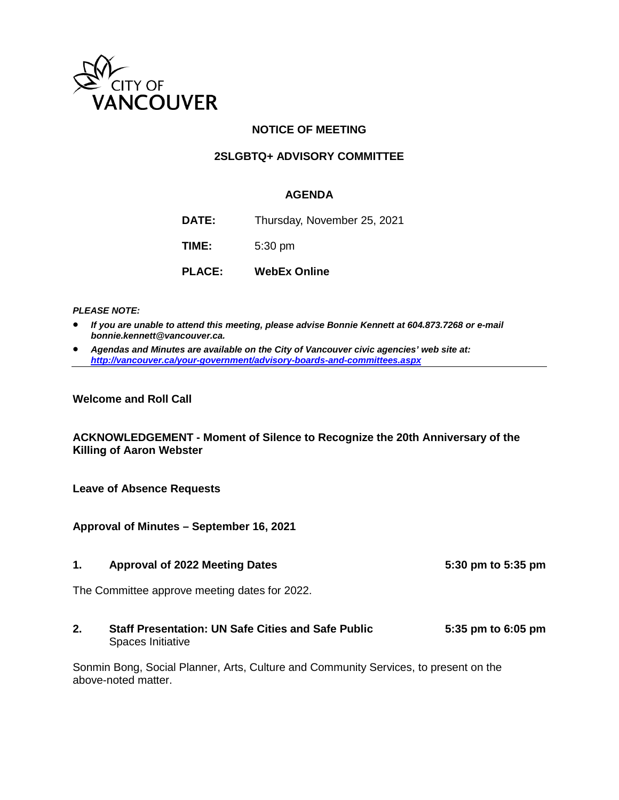

## **NOTICE OF MEETING**

## **2SLGBTQ+ ADVISORY COMMITTEE**

## **AGENDA**

**DATE:** Thursday, November 25, 2021 **TIME:** 5:30 pm

**PLACE: WebEx Online**

*PLEASE NOTE:*

- *If you are unable to attend this meeting, please advise Bonnie Kennett at 604.873.7268 or e-mail bonnie.kennett@vancouver.ca.*
- *Agendas and Minutes are available on the City of Vancouver civic agencies' web site at: <http://vancouver.ca/your-government/advisory-boards-and-committees.aspx>*

**Welcome and Roll Call** 

**ACKNOWLEDGEMENT - Moment of Silence to Recognize the 20th Anniversary of the Killing of Aaron Webster** 

**Leave of Absence Requests**

**Approval of Minutes – September 16, 2021**

**1. Approval of 2022 Meeting Dates 5:30 pm to 5:35 pm**

The Committee approve meeting dates for 2022.

**2. Staff Presentation: UN Safe Cities and Safe Public 5:35 pm to 6:05 pm** Spaces Initiative

Sonmin Bong, Social Planner, Arts, Culture and Community Services, to present on the above-noted matter.